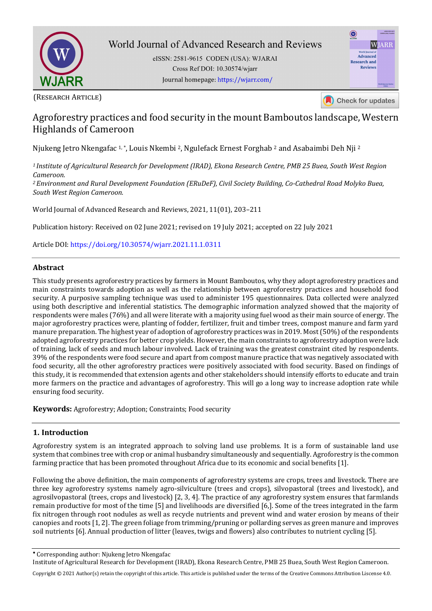

eISSN: 2581-9615 CODEN (USA): WJARAI Cross Ref DOI: 10.30574/wjarr Journal homepage: https://wjarr.com/

| <b>WIARR</b>        | 405534-0585-861<br>CODITY (USA) BUARA |
|---------------------|---------------------------------------|
|                     | WJARR                                 |
| World Journal of    |                                       |
| <b>Advanced</b>     |                                       |
| <b>Research and</b> |                                       |
| <b>Reviews</b>      |                                       |
|                     |                                       |
|                     |                                       |
|                     | World Journal Series<br><b>INDIA</b>  |
|                     |                                       |
|                     |                                       |

(RESEARCH ARTICLE)

Check for updates

# Agroforestry practices and food security in the mount Bamboutos landscape, Western Highlands of Cameroon

Njukeng Jetro Nkengafac 1, \*, Louis Nkembi 2, Ngulefack Ernest Forghab 2 and Asabaimbi Deh Nji <sup>2</sup>

*<sup>1</sup>Institute of Agricultural Research for Development (IRAD), Ekona Research Centre, PMB 25 Buea, South West Region Cameroon.* 

*<sup>2</sup>Environment and Rural Development Foundation (ERuDeF), Civil Society Building, Co-Cathedral Road Molyko Buea, South West Region Cameroon.* 

World Journal of Advanced Research and Reviews, 2021, 11(01), 203–211

Publication history: Received on 02 June 2021; revised on 19 July 2021; accepted on 22 July 2021

Article DOI[: https://doi.org/10.30574/wjarr.2021.11.1.0311](https://doi.org/10.30574/wjarr.2021.11.1.0311)

### **Abstract**

This study presents agroforestry practices by farmers in Mount Bamboutos, why they adopt agroforestry practices and main constraints towards adoption as well as the relationship between agroforestry practices and household food security. A purposive sampling technique was used to administer 195 questionnaires. Data collected were analyzed using both descriptive and inferential statistics. The demographic information analyzed showed that the majority of respondents were males (76%) and all were literate with a majority using fuel wood as their main source of energy. The major agroforestry practices were, planting of fodder, fertilizer, fruit and timber trees, compost manure and farm yard manure preparation. The highest year of adoption of agroforestry practices was in 2019. Most (50%) of the respondents adopted agroforestry practices for better crop yields. However, the main constraints to agroforestry adoption were lack of training, lack of seeds and much labour involved. Lack of training was the greatest constraint cited by respondents. 39% of the respondents were food secure and apart from compost manure practice that was negatively associated with food security, all the other agroforestry practices were positively associated with food security. Based on findings of this study, it is recommended that extension agents and other stakeholders should intensify efforts to educate and train more farmers on the practice and advantages of agroforestry. This will go a long way to increase adoption rate while ensuring food security.

**Keywords:** Agroforestry; Adoption; Constraints; Food security

### **1. Introduction**

Agroforestry system is an integrated approach to solving land use problems. It is a form of sustainable land use system that combines tree with crop or animal husbandry simultaneously and sequentially. Agroforestry is the common farming practice that has been promoted throughout Africa due to its economic and social benefits [1].

Following the above definition, the main components of agroforestry systems are crops, trees and livestock. There are three key agroforestry systems namely agro-silviculture (trees and crops), silvopastoral (trees and livestock), and agrosilvopastoral (trees, crops and livestock) [2, 3, 4]. The practice of any agroforestry system ensures that farmlands remain productive for most of the time [5] and livelihoods are diversified [6,]. Some of the trees integrated in the farm fix nitrogen through root nodules as well as recycle nutrients and prevent wind and water erosion by means of their canopies and roots [1, 2]. The green foliage from trimming/pruning or pollarding serves as green manure and improves soil nutrients [6]. Annual production of litter (leaves, twigs and flowers) also contributes to nutrient cycling [5].

Corresponding author: Njukeng Jetro Nkengafac

Institute of Agricultural Research for Development (IRAD), Ekona Research Centre, PMB 25 Buea, South West Region Cameroon.

Copyright © 2021 Author(s) retain the copyright of this article. This article is published under the terms of th[e Creative Commons Attribution Liscense 4.0.](http://creativecommons.org/licenses/by/4.0/deed.en_US)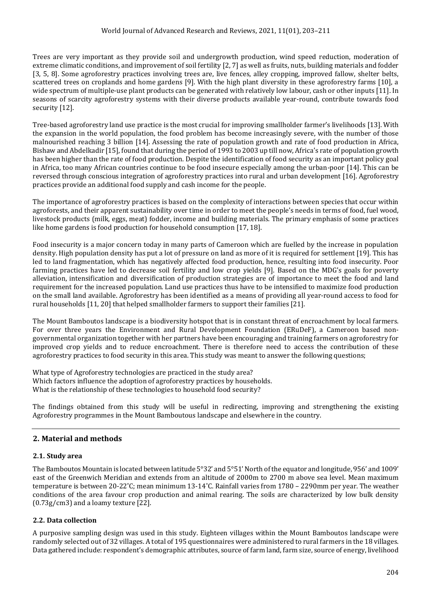Trees are very important as they provide soil and undergrowth production, wind speed reduction, moderation of extreme climatic conditions, and improvement of soil fertility [2, 7] as well as fruits, nuts, building materials and fodder [3, 5, 8]. Some agroforestry practices involving trees are, live fences, alley cropping, improved fallow, shelter belts, scattered trees on croplands and home gardens [9]. With the high plant diversity in these agroforestry farms [10], a wide spectrum of multiple-use plant products can be generated with relatively low labour, cash or other inputs [11]. In seasons of scarcity agroforestry systems with their diverse products available year-round, contribute towards food security [12].

Tree-based agroforestry land use practice is the most crucial for improving smallholder farmer's livelihoods [13]. With the expansion in the world population, the food problem has become increasingly severe, with the number of those malnourished reaching 3 billion [14]. Assessing the rate of population growth and rate of food production in Africa, Bishaw and Abdelkadir [15], found that during the period of 1993 to 2003 up till now, Africa's rate of population growth has been higher than the rate of food production. Despite the identification of food security as an important policy goal in Africa, too many African countries continue to be food insecure especially among the urban-poor [14]. This can be reversed through conscious integration of agroforestry practices into rural and urban development [16]. Agroforestry practices provide an additional food supply and cash income for the people.

The importance of agroforestry practices is based on the complexity of interactions between species that occur within agroforests, and their apparent sustainability over time in order to meet the people's needs in terms of food, fuel wood, livestock products (milk, eggs, meat) fodder, income and building materials. The primary emphasis of some practices like home gardens is food production for household consumption [17, 18].

Food insecurity is a major concern today in many parts of Cameroon which are fuelled by the increase in population density. High population density has put a lot of pressure on land as more of it is required for settlement [19]. This has led to land fragmentation, which has negatively affected food production, hence, resulting into food insecurity. Poor farming practices have led to decrease soil fertility and low crop yields [9]. Based on the MDG's goals for poverty alleviation, intensification and diversification of production strategies are of importance to meet the food and land requirement for the increased population. Land use practices thus have to be intensified to maximize food production on the small land available. Agroforestry has been identified as a means of providing all year-round access to food for rural households [11, 20] that helped smallholder farmers to support their families [21].

The Mount Bamboutos landscape is a biodiversity hotspot that is in constant threat of encroachment by local farmers. For over three years the Environment and Rural Development Foundation (ERuDeF), a Cameroon based nongovernmental organization together with her partners have been encouraging and training farmers on agroforestry for improved crop yields and to reduce encroachment. There is therefore need to access the contribution of these agroforestry practices to food security in this area. This study was meant to answer the following questions;

What type of Agroforestry technologies are practiced in the study area? Which factors influence the adoption of agroforestry practices by households. What is the relationship of these technologies to household food security?

The findings obtained from this study will be useful in redirecting, improving and strengthening the existing Agroforestry programmes in the Mount Bamboutous landscape and elsewhere in the country.

## **2. Material and methods**

### **2.1. Study area**

The Bamboutos Mountain is located between latitude 5°32' and 5°51' North of the equator and longitude, 956' and 1009' east of the Greenwich Meridian and extends from an altitude of 2000m to 2700 m above sea level. Mean maximum temperature is between 20-22˚C; mean minimum 13-14˚C. Rainfall varies from 1780 – 2290mm per year. The weather conditions of the area favour crop production and animal rearing. The soils are characterized by low bulk density (0.73g/cm3) and a loamy texture [22].

### **2.2. Data collection**

A purposive sampling design was used in this study. Eighteen villages within the Mount Bamboutos landscape were randomly selected out of 32 villages. A total of 195 questionnaires were administered to rural farmers in the 18 villages. Data gathered include: respondent's demographic attributes, source of farm land, farm size, source of energy, livelihood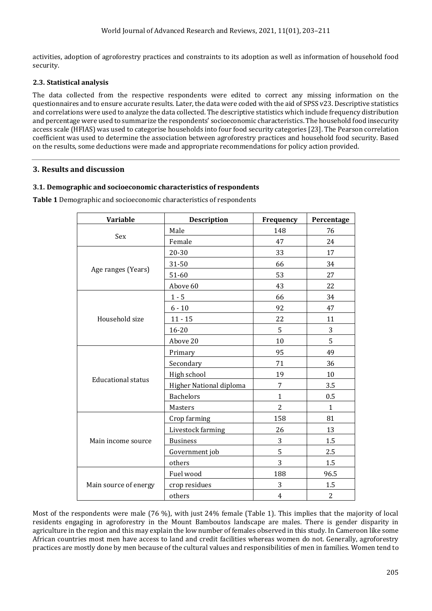activities, adoption of agroforestry practices and constraints to its adoption as well as information of household food security.

### **2.3. Statistical analysis**

The data collected from the respective respondents were edited to correct any missing information on the questionnaires and to ensure accurate results. Later, the data were coded with the aid of SPSS v23. Descriptive statistics and correlations were used to analyze the data collected. The descriptive statistics which include frequency distribution and percentage were used to summarize the respondents' socioeconomic characteristics. The household food insecurity access scale (HFIAS) was used to categorise households into four food security categories [23]. The Pearson correlation coefficient was used to determine the association between agroforestry practices and household food security. Based on the results, some deductions were made and appropriate recommendations for policy action provided.

### **3. Results and discussion**

### **3.1. Demographic and socioeconomic characteristics of respondents**

| <b>Variable</b>           | <b>Description</b>      | Frequency      | Percentage     |  |
|---------------------------|-------------------------|----------------|----------------|--|
|                           | Male                    | 148            | 76             |  |
| Sex                       | Female                  | 47             | 24             |  |
|                           | 20-30                   | 33             | 17             |  |
|                           | 31-50                   | 66             | 34             |  |
| Age ranges (Years)        | 51-60                   | 53             | 27             |  |
|                           | Above 60                | 43             | 22             |  |
|                           | $1 - 5$                 | 66             | 34             |  |
|                           | $6 - 10$                | 92             | 47             |  |
| Household size            | $11 - 15$               | 22             | 11             |  |
|                           | 16-20                   | 5              | 3              |  |
|                           | Above 20                | 10             | 5              |  |
|                           | Primary                 | 95             | 49             |  |
|                           | Secondary               | 71             | 36             |  |
|                           | High school             | 19             | 10             |  |
| <b>Educational status</b> | Higher National diploma | 7              | 3.5            |  |
|                           | <b>Bachelors</b>        | $\mathbf{1}$   | 0.5            |  |
|                           | Masters                 | $\overline{2}$ | $\mathbf{1}$   |  |
|                           | Crop farming            | 158            | 81             |  |
| Main income source        | Livestock farming       | 26             | 13             |  |
|                           | <b>Business</b>         | 3              | $1.5\,$        |  |
|                           | Government job          | 5              | 2.5            |  |
|                           | others                  | 3              | 1.5            |  |
|                           | Fuel wood               | 188            | 96.5           |  |
| Main source of energy     | crop residues           | 3              | 1.5            |  |
|                           | others                  | $\overline{4}$ | $\overline{2}$ |  |

**Table 1** Demographic and socioeconomic characteristics of respondents

Most of the respondents were male (76 %), with just 24% female (Table 1). This implies that the majority of local residents engaging in agroforestry in the Mount Bamboutos landscape are males. There is gender disparity in agriculture in the region and this may explain the low number of females observed in this study. In Cameroon like some African countries most men have access to land and credit facilities whereas women do not. Generally, agroforestry practices are mostly done by men because of the cultural values and responsibilities of men in families. Women tend to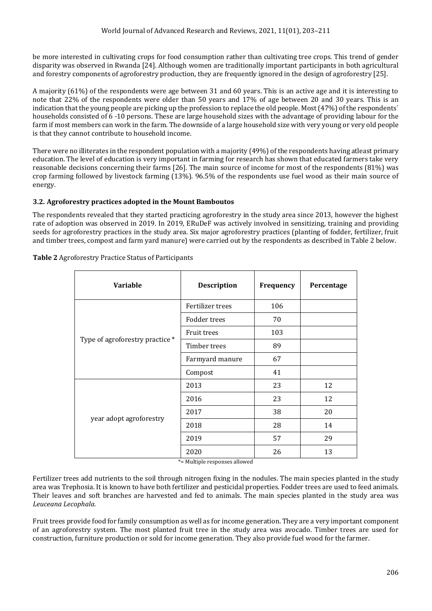be more interested in cultivating crops for food consumption rather than cultivating tree crops. This trend of gender disparity was observed in Rwanda [24]. Although women are traditionally important participants in both agricultural and forestry components of agroforestry production, they are frequently ignored in the design of agroforestry [25].

A majority (61%) of the respondents were age between 31 and 60 years. This is an active age and it is interesting to note that 22% of the respondents were older than 50 years and 17% of age between 20 and 30 years. This is an indication that the young people are picking up the profession to replace the old people. Most (47%) of the respondents` households consisted of 6 -10 persons. These are large household sizes with the advantage of providing labour for the farm if most members can work in the farm. The downside of a large household size with very young or very old people is that they cannot contribute to household income.

There were no illiterates in the respondent population with a majority (49%) of the respondents having atleast primary education. The level of education is very important in farming for research has shown that educated farmers take very reasonable decisions concerning their farms [26]. The main source of income for most of the respondents (81%) was crop farming followed by livestock farming (13%). 96.5% of the respondents use fuel wood as their main source of energy.

### **3.2. Agroforestry practices adopted in the Mount Bamboutos**

The respondents revealed that they started practicing agroforestry in the study area since 2013, however the highest rate of adoption was observed in 2019. In 2019, ERuDeF was actively involved in sensitizing, training and providing seeds for agroforestry practices in the study area. Six major agroforestry practices (planting of fodder, fertilizer, fruit and timber trees, compost and farm yard manure) were carried out by the respondents as described in Table 2 below.

| <b>Variable</b>                 | <b>Description</b> | Frequency | Percentage |
|---------------------------------|--------------------|-----------|------------|
| Type of agroforestry practice * | Fertilizer trees   | 106       |            |
|                                 | Fodder trees       | 70        |            |
|                                 | <b>Fruit trees</b> | 103       |            |
|                                 | Timber trees       | 89        |            |
|                                 | Farmyard manure    | 67        |            |
|                                 | Compost            | 41        |            |
| year adopt agroforestry         | 2013               | 23        | 12         |
|                                 | 2016               | 23        | 12         |
|                                 | 2017               | 38        | 20         |
|                                 | 2018               | 28        | 14         |
|                                 | 2019               | 57        | 29         |
|                                 | 2020               | 26        | 13         |

**Table 2** Agroforestry Practice Status of Participants

\*= Multiple responses allowed

Fertilizer trees add nutrients to the soil through nitrogen fixing in the nodules. The main species planted in the study area was Trephosia. It is known to have both fertilizer and pesticidal properties. Fodder trees are used to feed animals. Their leaves and soft branches are harvested and fed to animals. The main species planted in the study area was *Leuceana Lecophala.*

Fruit trees provide food for family consumption as well as for income generation. They are a very important component of an agroforestry system. The most planted fruit tree in the study area was avocado. Timber trees are used for construction, furniture production or sold for income generation. They also provide fuel wood for the farmer.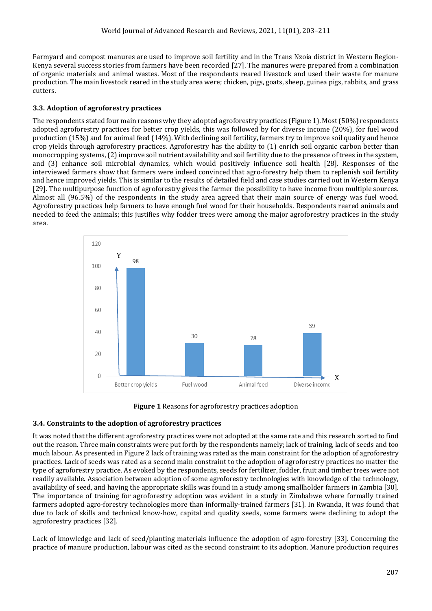Farmyard and compost manures are used to improve soil fertility and in the Trans Nzoia district in Western Region-Kenya several success stories from farmers have been recorded [27]. The manures were prepared from a combination of organic materials and animal wastes. Most of the respondents reared livestock and used their waste for manure production. The main livestock reared in the study area were; chicken, pigs, goats, sheep, guinea pigs, rabbits, and grass cutters.

### **3.3. Adoption of agroforestry practices**

The respondents stated four main reasons why they adopted agroforestry practices (Figure 1). Most (50%) respondents adopted agroforestry practices for better crop yields, this was followed by for diverse income (20%), for fuel wood production (15%) and for animal feed (14%). With declining soil fertility, farmers try to improve soil quality and hence crop yields through agroforestry practices. Agroforestry has the ability to (1) enrich soil organic carbon better than monocropping systems, (2) improve soil nutrient availability and soil fertility due to the presence of trees in the system, and (3) enhance soil microbial dynamics, which would positively influence soil health [28]. Responses of the interviewed farmers show that farmers were indeed convinced that agro-forestry help them to replenish soil fertility and hence improved yields. This is similar to the results of detailed field and case studies carried out in Western Kenya [29]. The multipurpose function of agroforestry gives the farmer the possibility to have income from multiple sources. Almost all (96.5%) of the respondents in the study area agreed that their main source of energy was fuel wood. Agroforestry practices help farmers to have enough fuel wood for their households. Respondents reared animals and needed to feed the animals; this justifies why fodder trees were among the major agroforestry practices in the study area.





### **3.4. Constraints to the adoption of agroforestry practices**

It was noted that the different agroforestry practices were not adopted at the same rate and this research sorted to find out the reason. Three main constraints were put forth by the respondents namely; lack of training, lack of seeds and too much labour. As presented in Figure 2 lack of training was rated as the main constraint for the adoption of agroforestry practices. Lack of seeds was rated as a second main constraint to the adoption of agroforestry practices no matter the type of agroforestry practice. As evoked by the respondents, seeds for fertilizer, fodder, fruit and timber trees were not readily available. Association between adoption of some agroforestry technologies with knowledge of the technology, availability of seed, and having the appropriate skills was found in a study among smallholder farmers in Zambia [30]. The importance of training for agroforestry adoption was evident in a study in Zimbabwe where formally trained farmers adopted agro-forestry technologies more than informally-trained farmers [31]. In Rwanda, it was found that due to lack of skills and technical know-how, capital and quality seeds, some farmers were declining to adopt the agroforestry practices [32].

Lack of knowledge and lack of seed/planting materials influence the adoption of agro-forestry [33]. Concerning the practice of manure production, labour was cited as the second constraint to its adoption. Manure production requires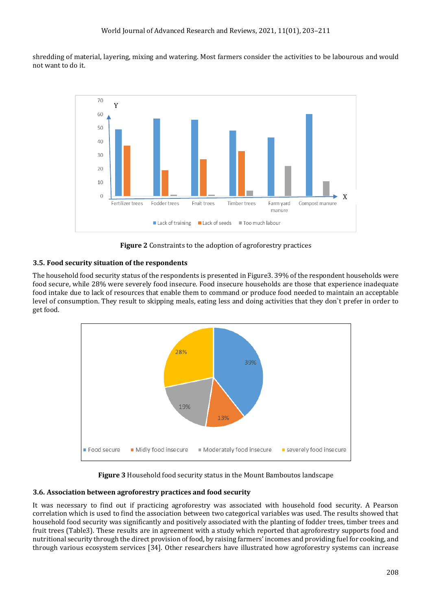shredding of material, layering, mixing and watering. Most farmers consider the activities to be labourous and would not want to do it.



**Figure 2** Constraints to the adoption of agroforestry practices

### **3.5. Food security situation of the respondents**

The household food security status of the respondents is presented in Figure3. 39% of the respondent households were food secure, while 28% were severely food insecure. Food insecure households are those that experience inadequate food intake due to lack of resources that enable them to command or produce food needed to maintain an acceptable level of consumption. They result to skipping meals, eating less and doing activities that they don`t prefer in order to get food.



**Figure 3** Household food security status in the Mount Bamboutos landscape

### **3.6. Association between agroforestry practices and food security**

It was necessary to find out if practicing agroforestry was associated with household food security. A Pearson correlation which is used to find the association between two categorical variables was used. The results showed that household food security was significantly and positively associated with the planting of fodder trees, timber trees and fruit trees (Table3). These results are in agreement with a study which reported that agroforestry supports food and nutritional security through the direct provision of food, by raising farmers' incomes and providing fuel for cooking, and through various ecosystem services [34]. Other researchers have illustrated how agroforestry systems can increase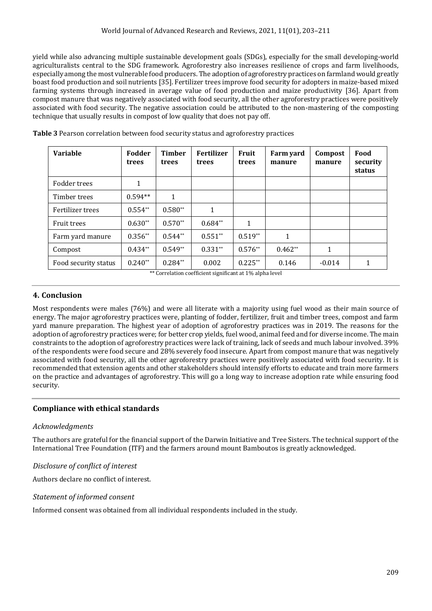yield while also advancing multiple sustainable development goals (SDGs), especially for the small developing-world agriculturalists central to the SDG framework. Agroforestry also increases resilience of crops and farm livelihoods, especially among the most vulnerable food producers. The adoption of agroforestry practices on farmland would greatly boast food production and soil nutrients [35]. Fertilizer trees improve food security for adopters in maize-based mixed farming systems through increased in average value of food production and maize productivity [36]. Apart from compost manure that was negatively associated with food security, all the other agroforestry practices were positively associated with food security. The negative association could be attributed to the non-mastering of the composting technique that usually results in compost of low quality that does not pay off.

| <b>Variable</b>      | Fodder<br>trees             | <b>Timber</b><br>trees | <b>Fertilizer</b><br>trees           | Fruit<br>trees | Farm yard<br>manure | Compost<br>manure | Food<br>security<br>status |
|----------------------|-----------------------------|------------------------|--------------------------------------|----------------|---------------------|-------------------|----------------------------|
| Fodder trees         |                             |                        |                                      |                |                     |                   |                            |
| Timber trees         | $0.594**$                   | 1                      |                                      |                |                     |                   |                            |
| Fertilizer trees     | $0.554**$                   | $0.580**$              | 1                                    |                |                     |                   |                            |
| <b>Fruit trees</b>   | $0.630**$                   | $0.570**$              | $0.684**$                            | 1              |                     |                   |                            |
| Farm yard manure     | $0.356**$                   | $0.544**$              | $0.551**$                            | $0.519**$      | 1                   |                   |                            |
| Compost              | $0.434**$                   | $0.549**$              | $0.331**$                            | $0.576**$      | $0.462**$           | 1                 |                            |
| Food security status | $0.240**$<br>about the com- | $0.284**$<br>.         | 0.002<br>$\sim$ $\sim$ $\sim$ $\sim$ | $0.225**$      | 0.146               | $-0.014$          | 1                          |

**Table 3** Pearson correlation between food security status and agroforestry practices

\*\* Correlation coefficient significant at 1% alpha level

### **4. Conclusion**

Most respondents were males (76%) and were all literate with a majority using fuel wood as their main source of energy. The major agroforestry practices were, planting of fodder, fertilizer, fruit and timber trees, compost and farm yard manure preparation. The highest year of adoption of agroforestry practices was in 2019. The reasons for the adoption of agroforestry practices were; for better crop yields, fuel wood, animal feed and for diverse income. The main constraints to the adoption of agroforestry practices were lack of training, lack of seeds and much labour involved. 39% of the respondents were food secure and 28% severely food insecure. Apart from compost manure that was negatively associated with food security, all the other agroforestry practices were positively associated with food security. It is recommended that extension agents and other stakeholders should intensify efforts to educate and train more farmers on the practice and advantages of agroforestry. This will go a long way to increase adoption rate while ensuring food security.

### **Compliance with ethical standards**

### *Acknowledgments*

The authors are grateful for the financial support of the Darwin Initiative and Tree Sisters. The technical support of the International Tree Foundation (ITF) and the farmers around mount Bamboutos is greatly acknowledged.

### *Disclosure of conflict of interest*

Authors declare no conflict of interest.

### *Statement of informed consent*

Informed consent was obtained from all individual respondents included in the study.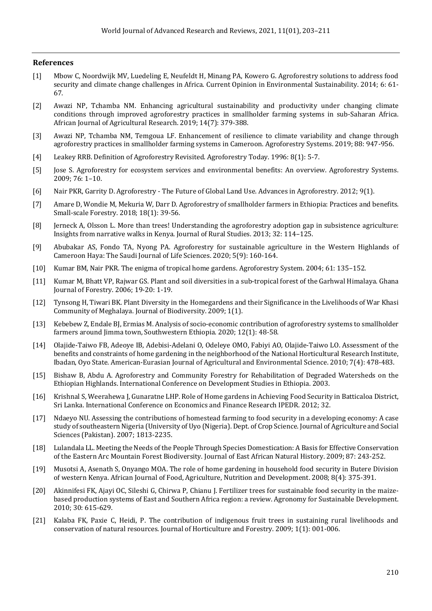#### **References**

- [1] Mbow C, Noordwijk MV, Luedeling E, Neufeldt H, Minang PA, Kowero G. Agroforestry solutions to address food security and climate change challenges in Africa. Current Opinion in Environmental Sustainability. 2014; 6: 61- 67.
- [2] Awazi NP, Tchamba NM. Enhancing agricultural sustainability and productivity under changing climate conditions through improved agroforestry practices in smallholder farming systems in sub-Saharan Africa. African Journal of Agricultural Research. 2019; 14(7): 379-388.
- [3] Awazi NP, Tchamba NM, Temgoua LF. Enhancement of resilience to climate variability and change through agroforestry practices in smallholder farming systems in Cameroon. Agroforestry Systems. 2019; 88: 947-956.
- [4] Leakey RRB. Definition of Agroforestry Revisited. Agroforestry Today. 1996: 8(1): 5-7.
- [5] Jose S. Agroforestry for ecosystem services and environmental benefits: An overview. Agroforestry Systems. 2009; 76: 1–10.
- [6] Nair PKR, Garrity D. Agroforestry The Future of Global Land Use. Advances in Agroforestry. 2012; 9(1).
- [7] Amare D, Wondie M, Mekuria W, Darr D. Agroforestry of smallholder farmers in Ethiopia: Practices and benefits. Small-scale Forestry. 2018; 18(1): 39-56.
- [8] Jerneck A, Olsson L. More than trees! Understanding the agroforestry adoption gap in subsistence agriculture: Insights from narrative walks in Kenya. Journal of Rural Studies. 2013; 32: 114–125.
- [9] Abubakar AS, Fondo TA, Nyong PA. Agroforestry for sustainable agriculture in the Western Highlands of Cameroon Haya: The Saudi Journal of Life Sciences. 2020; 5(9): 160-164.
- [10] Kumar BM, Nair PKR. The enigma of tropical home gardens. Agroforestry System. 2004; 61: 135–152.
- [11] Kumar M, Bhatt VP, Rajwar GS. Plant and soil diversities in a sub-tropical forest of the Garhwal Himalaya. Ghana Journal of Forestry. 2006; 19-20: 1-19.
- [12] Tynsong H, Tiwari BK. Plant Diversity in the Homegardens and their Significance in the Livelihoods of War Khasi Community of Meghalaya. [Journal of Biodiversity.](https://www.researchgate.net/journal/Journal-of-Biodiversity-0976-6901) 2009; 1(1).
- [13] Kebebew Z, Endale BJ, Ermias M. Analysis of socio-economic contribution of agroforestry systems to smallholder farmers around Jimma town, Southwestern Ethiopia. 2020; 12(1): 48-58.
- [14] [Olajide-Taiwo FB,](https://www.cabdirect.org/cabdirect/search/?q=au%3a%22Olajide-Taiwo%2c+F.+B.%22) [Adeoye IB,](https://www.cabdirect.org/cabdirect/search/?q=au%3a%22Adeoye%2c+I.+B.%22) [Adebisi-Adelani O,](https://www.cabdirect.org/cabdirect/search/?q=au%3a%22Adebisi-Adelani%2c+O.%22) [Odeleye OMO,](https://www.cabdirect.org/cabdirect/search/?q=au%3a%22Odeleye%2c+O.+M.+O.%22) [Fabiyi AO,](https://www.cabdirect.org/cabdirect/search/?q=au%3a%22Fabiyi%2c+A.+O.%22) [Olajide-Taiwo LO.](https://www.cabdirect.org/cabdirect/search/?q=au%3a%22Olajide-Taiwo%2c+L.+O.%22) Assessment of the benefits and constraints of home gardening in the neighborhood of the National Horticultural Research Institute, Ibadan, Oyo State. [American-Eurasian Journal of Agricultural and Environmental Science.](https://www.cabdirect.org/cabdirect/search/?q=do%3a%22American-Eurasian+Journal+of+Agricultural+and+Environmental+Science%22) 2010; 7(4): 478-483.
- [15] Bishaw B, Abdu A. [Agroforestry and Community Forestry for Rehabilitation of Degraded Watersheds on the](https://scholarworks.wmich.edu/cgi/viewcontent.cgi?article=1056&context=africancenter_icad_archive)  [Ethiopian Highlands.](https://scholarworks.wmich.edu/cgi/viewcontent.cgi?article=1056&context=africancenter_icad_archive) International Conference on Development Studies in Ethiopia. 2003.
- [16] Krishnal S, Weerahewa J, Gunaratne LHP. Role of Home gardens in Achieving Food Security in Batticaloa District, Sri Lanka. International Conference on Economics and Finance Research IPEDR. 2012; 32.
- [17] Ndaeyo NU. Assessing the contributions of homestead farming to food security in a developing economy: A case study of southeastern Nigeria (University of Uyo (Nigeria). Dept. of Crop Science. Journal of Agriculture and Social Sciences (Pakistan). 2007; 1813-2235.
- [18] Lulandal[a LL. M](https://www.researchgate.net/profile/Ll-Lulandala)eeting the Needs of the People Through Species Domestication: A Basis for Effective Conservation of the Eastern Arc Mountain Forest Biodiversity. [Journal of East African Natural History.](https://www.researchgate.net/journal/Journal-of-East-African-Natural-History-0012-8317) 2009; 87: 243-252.
- [19] Musotsi [A,](https://www.researchgate.net/profile/Anne-Musotsi) [Asenath S,](https://www.researchgate.net/profile/Asenath-Sigot) Onyango MOA. The role of home gardening in household food security in Butere Division of western Kenya[. African Journal of Food, Agriculture, Nutrition and Development.](https://www.researchgate.net/journal/African-Journal-of-Food-Agriculture-Nutrition-and-Development-1684-5374) 2008; 8(4): 375-391.
- [20] Akinnifesi FK, Ajayi OC, Sileshi G, Chirwa P, Chianu J. Fertilizer trees for sustainable food security in the maizebased production systems of East and Southern Africa region: a review. Agronomy for Sustainable Development. 2010; 30: 615-629.
- [21] Kalaba FK, Paxie C, Heidi, P. The contribution of indigenous fruit trees in sustaining rural livelihoods and conservation of natural resources. Journal of Horticulture and Forestry. 2009; 1(1): 001-006.